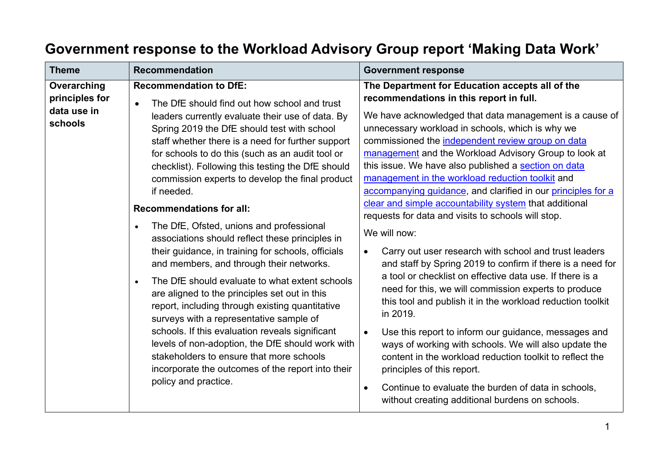## **Government response to the Workload Advisory Group report 'Making Data Work'**

| <b>Theme</b>                                            | <b>Recommendation</b>                                                                                                                                                                                                                                                                                                                                                                                                                                                                                                                                                                                                                                                                                                                                                                                                                                                                                                                                                                                                                                                                                                       | <b>Government response</b>                                                                                                                                                                                                                                                                                                                                                                                                                                                                                                                                                                                                                                                                                                                                                                                                                                                                                                                                                                                                                                                                                                                                                                                                                                                                                           |
|---------------------------------------------------------|-----------------------------------------------------------------------------------------------------------------------------------------------------------------------------------------------------------------------------------------------------------------------------------------------------------------------------------------------------------------------------------------------------------------------------------------------------------------------------------------------------------------------------------------------------------------------------------------------------------------------------------------------------------------------------------------------------------------------------------------------------------------------------------------------------------------------------------------------------------------------------------------------------------------------------------------------------------------------------------------------------------------------------------------------------------------------------------------------------------------------------|----------------------------------------------------------------------------------------------------------------------------------------------------------------------------------------------------------------------------------------------------------------------------------------------------------------------------------------------------------------------------------------------------------------------------------------------------------------------------------------------------------------------------------------------------------------------------------------------------------------------------------------------------------------------------------------------------------------------------------------------------------------------------------------------------------------------------------------------------------------------------------------------------------------------------------------------------------------------------------------------------------------------------------------------------------------------------------------------------------------------------------------------------------------------------------------------------------------------------------------------------------------------------------------------------------------------|
| Overarching<br>principles for<br>data use in<br>schools | <b>Recommendation to DfE:</b><br>The DfE should find out how school and trust<br>$\bullet$<br>leaders currently evaluate their use of data. By<br>Spring 2019 the DfE should test with school<br>staff whether there is a need for further support<br>for schools to do this (such as an audit tool or<br>checklist). Following this testing the DfE should<br>commission experts to develop the final product<br>if needed.<br><b>Recommendations for all:</b><br>The DfE, Ofsted, unions and professional<br>$\bullet$<br>associations should reflect these principles in<br>their guidance, in training for schools, officials<br>and members, and through their networks.<br>The DfE should evaluate to what extent schools<br>$\bullet$<br>are aligned to the principles set out in this<br>report, including through existing quantitative<br>surveys with a representative sample of<br>schools. If this evaluation reveals significant<br>levels of non-adoption, the DfE should work with<br>stakeholders to ensure that more schools<br>incorporate the outcomes of the report into their<br>policy and practice. | The Department for Education accepts all of the<br>recommendations in this report in full.<br>We have acknowledged that data management is a cause of<br>unnecessary workload in schools, which is why we<br>commissioned the independent review group on data<br>management and the Workload Advisory Group to look at<br>this issue. We have also published a section on data<br>management in the workload reduction toolkit and<br>accompanying guidance, and clarified in our principles for a<br>clear and simple accountability system that additional<br>requests for data and visits to schools will stop.<br>We will now:<br>Carry out user research with school and trust leaders<br>$\bullet$<br>and staff by Spring 2019 to confirm if there is a need for<br>a tool or checklist on effective data use. If there is a<br>need for this, we will commission experts to produce<br>this tool and publish it in the workload reduction toolkit<br>in 2019.<br>Use this report to inform our guidance, messages and<br>$\bullet$<br>ways of working with schools. We will also update the<br>content in the workload reduction toolkit to reflect the<br>principles of this report.<br>Continue to evaluate the burden of data in schools,<br>$\bullet$<br>without creating additional burdens on schools. |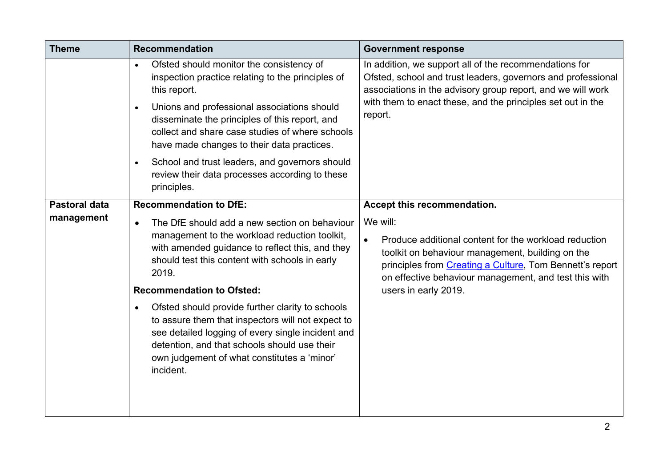| <b>Theme</b>         | <b>Recommendation</b>                                                                                                                                                                                                                                                                                                                                                                                                                                                     | <b>Government response</b>                                                                                                                                                                                                                                                      |
|----------------------|---------------------------------------------------------------------------------------------------------------------------------------------------------------------------------------------------------------------------------------------------------------------------------------------------------------------------------------------------------------------------------------------------------------------------------------------------------------------------|---------------------------------------------------------------------------------------------------------------------------------------------------------------------------------------------------------------------------------------------------------------------------------|
|                      | Ofsted should monitor the consistency of<br>$\bullet$<br>inspection practice relating to the principles of<br>this report.<br>Unions and professional associations should<br>$\bullet$<br>disseminate the principles of this report, and<br>collect and share case studies of where schools<br>have made changes to their data practices.<br>School and trust leaders, and governors should<br>$\bullet$<br>review their data processes according to these<br>principles. | In addition, we support all of the recommendations for<br>Ofsted, school and trust leaders, governors and professional<br>associations in the advisory group report, and we will work<br>with them to enact these, and the principles set out in the<br>report.                 |
| <b>Pastoral data</b> | <b>Recommendation to DfE:</b>                                                                                                                                                                                                                                                                                                                                                                                                                                             | Accept this recommendation.                                                                                                                                                                                                                                                     |
| management           | The DfE should add a new section on behaviour<br>$\bullet$<br>management to the workload reduction toolkit,<br>with amended guidance to reflect this, and they<br>should test this content with schools in early<br>2019.<br><b>Recommendation to Ofsted:</b>                                                                                                                                                                                                             | We will:<br>Produce additional content for the workload reduction<br>$\bullet$<br>toolkit on behaviour management, building on the<br>principles from Creating a Culture, Tom Bennett's report<br>on effective behaviour management, and test this with<br>users in early 2019. |
|                      | Ofsted should provide further clarity to schools<br>$\bullet$<br>to assure them that inspectors will not expect to<br>see detailed logging of every single incident and<br>detention, and that schools should use their<br>own judgement of what constitutes a 'minor'<br>incident.                                                                                                                                                                                       |                                                                                                                                                                                                                                                                                 |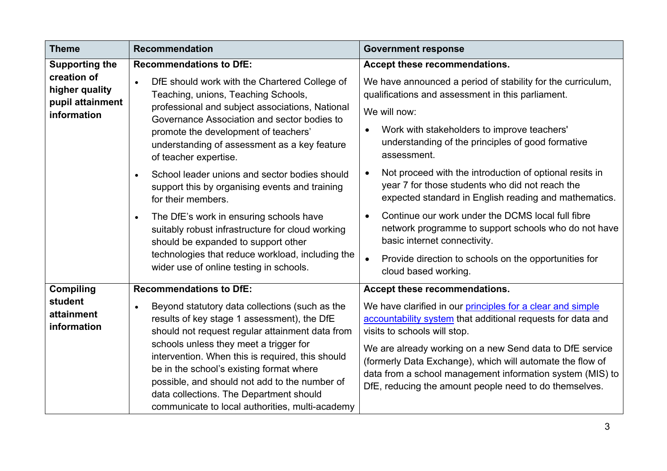| <b>Theme</b>                                                                                | <b>Recommendation</b>                                                                                                                                                                                                                                                                                                                                                                                                                                                                                                                                                                                                              | <b>Government response</b>                                                                                                                                                                                                                                                                                                                                                                                                                                                                                                                                                                               |
|---------------------------------------------------------------------------------------------|------------------------------------------------------------------------------------------------------------------------------------------------------------------------------------------------------------------------------------------------------------------------------------------------------------------------------------------------------------------------------------------------------------------------------------------------------------------------------------------------------------------------------------------------------------------------------------------------------------------------------------|----------------------------------------------------------------------------------------------------------------------------------------------------------------------------------------------------------------------------------------------------------------------------------------------------------------------------------------------------------------------------------------------------------------------------------------------------------------------------------------------------------------------------------------------------------------------------------------------------------|
| <b>Supporting the</b><br>creation of<br>higher quality<br>pupil attainment<br>information   | <b>Recommendations to DfE:</b><br>DfE should work with the Chartered College of<br>$\bullet$<br>Teaching, unions, Teaching Schools,<br>professional and subject associations, National<br>Governance Association and sector bodies to<br>promote the development of teachers'<br>understanding of assessment as a key feature<br>of teacher expertise.<br>School leader unions and sector bodies should<br>support this by organising events and training<br>for their members.<br>The DfE's work in ensuring schools have<br>$\bullet$<br>suitably robust infrastructure for cloud working<br>should be expanded to support other | Accept these recommendations.<br>We have announced a period of stability for the curriculum,<br>qualifications and assessment in this parliament.<br>We will now:<br>Work with stakeholders to improve teachers'<br>understanding of the principles of good formative<br>assessment.<br>Not proceed with the introduction of optional resits in<br>year 7 for those students who did not reach the<br>expected standard in English reading and mathematics.<br>Continue our work under the DCMS local full fibre<br>network programme to support schools who do not have<br>basic internet connectivity. |
| technologies that reduce workload, including the<br>wider use of online testing in schools. | Provide direction to schools on the opportunities for<br>cloud based working.                                                                                                                                                                                                                                                                                                                                                                                                                                                                                                                                                      |                                                                                                                                                                                                                                                                                                                                                                                                                                                                                                                                                                                                          |
| <b>Compiling</b>                                                                            | <b>Recommendations to DfE:</b>                                                                                                                                                                                                                                                                                                                                                                                                                                                                                                                                                                                                     | Accept these recommendations.                                                                                                                                                                                                                                                                                                                                                                                                                                                                                                                                                                            |
| student<br>attainment<br>information                                                        | Beyond statutory data collections (such as the<br>$\bullet$<br>results of key stage 1 assessment), the DfE<br>should not request regular attainment data from<br>schools unless they meet a trigger for<br>intervention. When this is required, this should<br>be in the school's existing format where<br>possible, and should not add to the number of<br>data collections. The Department should<br>communicate to local authorities, multi-academy                                                                                                                                                                             | We have clarified in our principles for a clear and simple<br>accountability system that additional requests for data and<br>visits to schools will stop.<br>We are already working on a new Send data to DfE service<br>(formerly Data Exchange), which will automate the flow of<br>data from a school management information system (MIS) to<br>DfE, reducing the amount people need to do themselves.                                                                                                                                                                                                |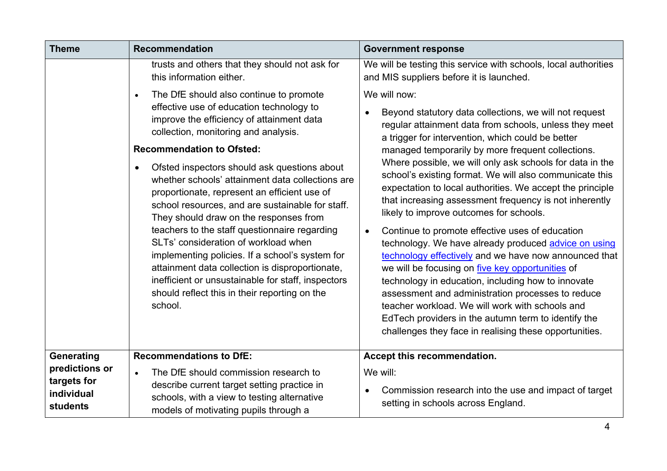| <b>Theme</b>                                            | <b>Recommendation</b>                                                                                                                                                                                                                                                                                                                                                                                                                                                                                                                                                                                                                                                                                                                                                                        | <b>Government response</b>                                                                                                                                                                                                                                                                                                                                                                                                                                                                                                                                                                                                                                                                                                                                                                                                                                                                                                                                                                                                                                           |
|---------------------------------------------------------|----------------------------------------------------------------------------------------------------------------------------------------------------------------------------------------------------------------------------------------------------------------------------------------------------------------------------------------------------------------------------------------------------------------------------------------------------------------------------------------------------------------------------------------------------------------------------------------------------------------------------------------------------------------------------------------------------------------------------------------------------------------------------------------------|----------------------------------------------------------------------------------------------------------------------------------------------------------------------------------------------------------------------------------------------------------------------------------------------------------------------------------------------------------------------------------------------------------------------------------------------------------------------------------------------------------------------------------------------------------------------------------------------------------------------------------------------------------------------------------------------------------------------------------------------------------------------------------------------------------------------------------------------------------------------------------------------------------------------------------------------------------------------------------------------------------------------------------------------------------------------|
|                                                         | trusts and others that they should not ask for<br>this information either.                                                                                                                                                                                                                                                                                                                                                                                                                                                                                                                                                                                                                                                                                                                   | We will be testing this service with schools, local authorities<br>and MIS suppliers before it is launched.                                                                                                                                                                                                                                                                                                                                                                                                                                                                                                                                                                                                                                                                                                                                                                                                                                                                                                                                                          |
|                                                         | The DfE should also continue to promote<br>effective use of education technology to<br>improve the efficiency of attainment data<br>collection, monitoring and analysis.<br><b>Recommendation to Ofsted:</b><br>Ofsted inspectors should ask questions about<br>$\bullet$<br>whether schools' attainment data collections are<br>proportionate, represent an efficient use of<br>school resources, and are sustainable for staff.<br>They should draw on the responses from<br>teachers to the staff questionnaire regarding<br>SLTs' consideration of workload when<br>implementing policies. If a school's system for<br>attainment data collection is disproportionate,<br>inefficient or unsustainable for staff, inspectors<br>should reflect this in their reporting on the<br>school. | We will now:<br>Beyond statutory data collections, we will not request<br>$\bullet$<br>regular attainment data from schools, unless they meet<br>a trigger for intervention, which could be better<br>managed temporarily by more frequent collections.<br>Where possible, we will only ask schools for data in the<br>school's existing format. We will also communicate this<br>expectation to local authorities. We accept the principle<br>that increasing assessment frequency is not inherently<br>likely to improve outcomes for schools.<br>Continue to promote effective uses of education<br>$\bullet$<br>technology. We have already produced advice on using<br>technology effectively and we have now announced that<br>we will be focusing on five key opportunities of<br>technology in education, including how to innovate<br>assessment and administration processes to reduce<br>teacher workload. We will work with schools and<br>EdTech providers in the autumn term to identify the<br>challenges they face in realising these opportunities. |
| Generating                                              | <b>Recommendations to DfE:</b>                                                                                                                                                                                                                                                                                                                                                                                                                                                                                                                                                                                                                                                                                                                                                               | Accept this recommendation.                                                                                                                                                                                                                                                                                                                                                                                                                                                                                                                                                                                                                                                                                                                                                                                                                                                                                                                                                                                                                                          |
| predictions or<br>targets for<br>individual<br>students | The DfE should commission research to<br>$\bullet$<br>describe current target setting practice in<br>schools, with a view to testing alternative<br>models of motivating pupils through a                                                                                                                                                                                                                                                                                                                                                                                                                                                                                                                                                                                                    | We will:<br>Commission research into the use and impact of target<br>$\bullet$<br>setting in schools across England.                                                                                                                                                                                                                                                                                                                                                                                                                                                                                                                                                                                                                                                                                                                                                                                                                                                                                                                                                 |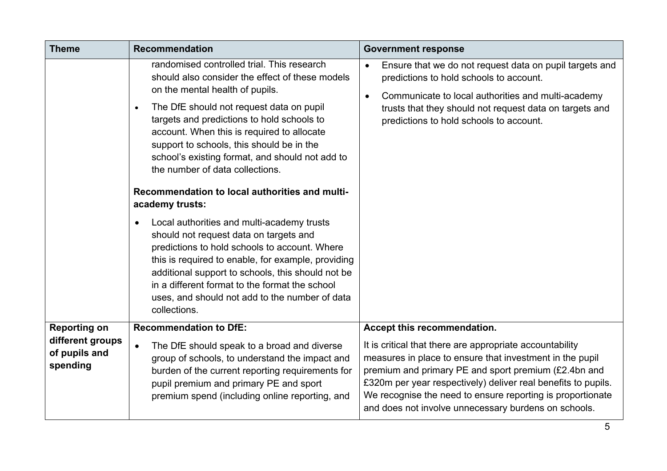| <b>Theme</b>                                                         | <b>Recommendation</b>                                                                                                                                                                                                                                                                                                                                                                                                                                                                                                                                                                                                                                                                                                                                                                                                                                                              | <b>Government response</b>                                                                                                                                                                                                                                                                                                                                                                         |
|----------------------------------------------------------------------|------------------------------------------------------------------------------------------------------------------------------------------------------------------------------------------------------------------------------------------------------------------------------------------------------------------------------------------------------------------------------------------------------------------------------------------------------------------------------------------------------------------------------------------------------------------------------------------------------------------------------------------------------------------------------------------------------------------------------------------------------------------------------------------------------------------------------------------------------------------------------------|----------------------------------------------------------------------------------------------------------------------------------------------------------------------------------------------------------------------------------------------------------------------------------------------------------------------------------------------------------------------------------------------------|
|                                                                      | randomised controlled trial. This research<br>should also consider the effect of these models<br>on the mental health of pupils.<br>The DfE should not request data on pupil<br>$\bullet$<br>targets and predictions to hold schools to<br>account. When this is required to allocate<br>support to schools, this should be in the<br>school's existing format, and should not add to<br>the number of data collections.<br>Recommendation to local authorities and multi-<br>academy trusts:<br>Local authorities and multi-academy trusts<br>$\bullet$<br>should not request data on targets and<br>predictions to hold schools to account. Where<br>this is required to enable, for example, providing<br>additional support to schools, this should not be<br>in a different format to the format the school<br>uses, and should not add to the number of data<br>collections. | Ensure that we do not request data on pupil targets and<br>predictions to hold schools to account.<br>Communicate to local authorities and multi-academy<br>$\bullet$<br>trusts that they should not request data on targets and<br>predictions to hold schools to account.                                                                                                                        |
| <b>Reporting on</b><br>different groups<br>of pupils and<br>spending | <b>Recommendation to DfE:</b><br>The DfE should speak to a broad and diverse<br>group of schools, to understand the impact and<br>burden of the current reporting requirements for<br>pupil premium and primary PE and sport<br>premium spend (including online reporting, and                                                                                                                                                                                                                                                                                                                                                                                                                                                                                                                                                                                                     | Accept this recommendation.<br>It is critical that there are appropriate accountability<br>measures in place to ensure that investment in the pupil<br>premium and primary PE and sport premium (£2.4bn and<br>£320m per year respectively) deliver real benefits to pupils.<br>We recognise the need to ensure reporting is proportionate<br>and does not involve unnecessary burdens on schools. |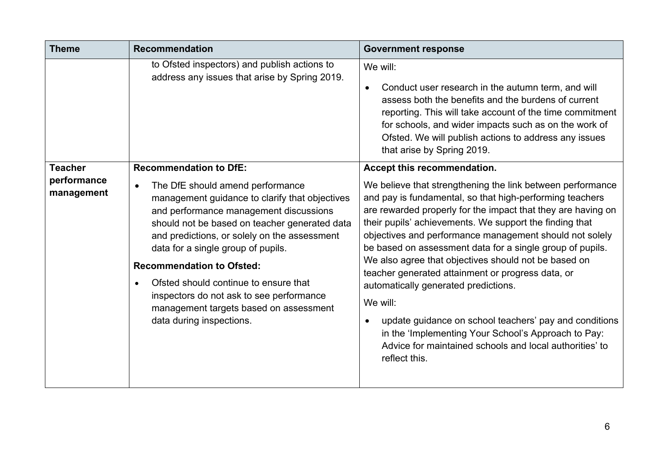| <b>Theme</b>                                | <b>Recommendation</b>                                                                                                                                                                                                                                                                                                                                                                                                                                                                                            | <b>Government response</b>                                                                                                                                                                                                                                                                                                                                                                                                                                                                                                                                                                                                                                                                                                                                                          |
|---------------------------------------------|------------------------------------------------------------------------------------------------------------------------------------------------------------------------------------------------------------------------------------------------------------------------------------------------------------------------------------------------------------------------------------------------------------------------------------------------------------------------------------------------------------------|-------------------------------------------------------------------------------------------------------------------------------------------------------------------------------------------------------------------------------------------------------------------------------------------------------------------------------------------------------------------------------------------------------------------------------------------------------------------------------------------------------------------------------------------------------------------------------------------------------------------------------------------------------------------------------------------------------------------------------------------------------------------------------------|
|                                             | to Ofsted inspectors) and publish actions to<br>address any issues that arise by Spring 2019.                                                                                                                                                                                                                                                                                                                                                                                                                    | We will:<br>Conduct user research in the autumn term, and will<br>$\bullet$<br>assess both the benefits and the burdens of current<br>reporting. This will take account of the time commitment<br>for schools, and wider impacts such as on the work of<br>Ofsted. We will publish actions to address any issues<br>that arise by Spring 2019.                                                                                                                                                                                                                                                                                                                                                                                                                                      |
| <b>Teacher</b><br>performance<br>management | <b>Recommendation to DfE:</b><br>The DfE should amend performance<br>$\bullet$<br>management guidance to clarify that objectives<br>and performance management discussions<br>should not be based on teacher generated data<br>and predictions, or solely on the assessment<br>data for a single group of pupils.<br><b>Recommendation to Ofsted:</b><br>Ofsted should continue to ensure that<br>inspectors do not ask to see performance<br>management targets based on assessment<br>data during inspections. | Accept this recommendation.<br>We believe that strengthening the link between performance<br>and pay is fundamental, so that high-performing teachers<br>are rewarded properly for the impact that they are having on<br>their pupils' achievements. We support the finding that<br>objectives and performance management should not solely<br>be based on assessment data for a single group of pupils.<br>We also agree that objectives should not be based on<br>teacher generated attainment or progress data, or<br>automatically generated predictions.<br>We will:<br>update guidance on school teachers' pay and conditions<br>$\bullet$<br>in the 'Implementing Your School's Approach to Pay:<br>Advice for maintained schools and local authorities' to<br>reflect this. |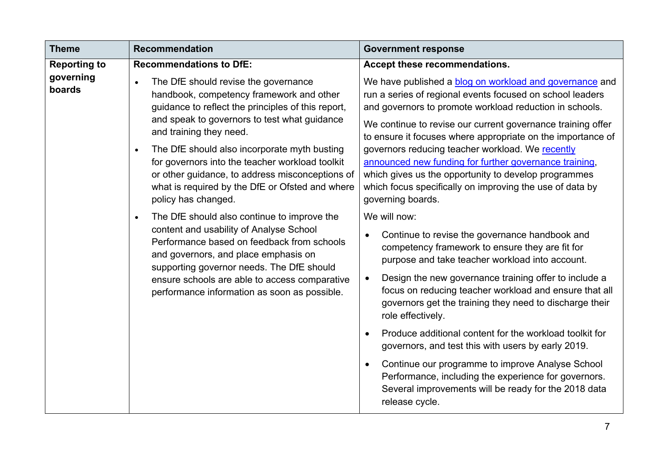| <b>Theme</b>        | <b>Recommendation</b>                                                                                                                                                                                                                                                                                                                                                                                                                                                                                                                                                                                                                                                                                                                                                                                                  | <b>Government response</b>                                                                                                                                                                                                                                                                                                                                                                                                                                                                                                                                                                                                                                                                                                                                                                                                                                                                                                                                                                                                                                                                                                                                                                                                                                                       |
|---------------------|------------------------------------------------------------------------------------------------------------------------------------------------------------------------------------------------------------------------------------------------------------------------------------------------------------------------------------------------------------------------------------------------------------------------------------------------------------------------------------------------------------------------------------------------------------------------------------------------------------------------------------------------------------------------------------------------------------------------------------------------------------------------------------------------------------------------|----------------------------------------------------------------------------------------------------------------------------------------------------------------------------------------------------------------------------------------------------------------------------------------------------------------------------------------------------------------------------------------------------------------------------------------------------------------------------------------------------------------------------------------------------------------------------------------------------------------------------------------------------------------------------------------------------------------------------------------------------------------------------------------------------------------------------------------------------------------------------------------------------------------------------------------------------------------------------------------------------------------------------------------------------------------------------------------------------------------------------------------------------------------------------------------------------------------------------------------------------------------------------------|
| <b>Reporting to</b> | <b>Recommendations to DfE:</b>                                                                                                                                                                                                                                                                                                                                                                                                                                                                                                                                                                                                                                                                                                                                                                                         | Accept these recommendations.                                                                                                                                                                                                                                                                                                                                                                                                                                                                                                                                                                                                                                                                                                                                                                                                                                                                                                                                                                                                                                                                                                                                                                                                                                                    |
| governing<br>boards | The DfE should revise the governance<br>$\bullet$<br>handbook, competency framework and other<br>guidance to reflect the principles of this report,<br>and speak to governors to test what guidance<br>and training they need.<br>The DfE should also incorporate myth busting<br>$\bullet$<br>for governors into the teacher workload toolkit<br>or other guidance, to address misconceptions of<br>what is required by the DfE or Ofsted and where<br>policy has changed.<br>The DfE should also continue to improve the<br>$\bullet$<br>content and usability of Analyse School<br>Performance based on feedback from schools<br>and governors, and place emphasis on<br>supporting governor needs. The DfE should<br>ensure schools are able to access comparative<br>performance information as soon as possible. | We have published a blog on workload and governance and<br>run a series of regional events focused on school leaders<br>and governors to promote workload reduction in schools.<br>We continue to revise our current governance training offer<br>to ensure it focuses where appropriate on the importance of<br>governors reducing teacher workload. We recently<br>announced new funding for further governance training,<br>which gives us the opportunity to develop programmes<br>which focus specifically on improving the use of data by<br>governing boards.<br>We will now:<br>Continue to revise the governance handbook and<br>$\bullet$<br>competency framework to ensure they are fit for<br>purpose and take teacher workload into account.<br>Design the new governance training offer to include a<br>$\bullet$<br>focus on reducing teacher workload and ensure that all<br>governors get the training they need to discharge their<br>role effectively.<br>Produce additional content for the workload toolkit for<br>governors, and test this with users by early 2019.<br>Continue our programme to improve Analyse School<br>Performance, including the experience for governors.<br>Several improvements will be ready for the 2018 data<br>release cycle. |